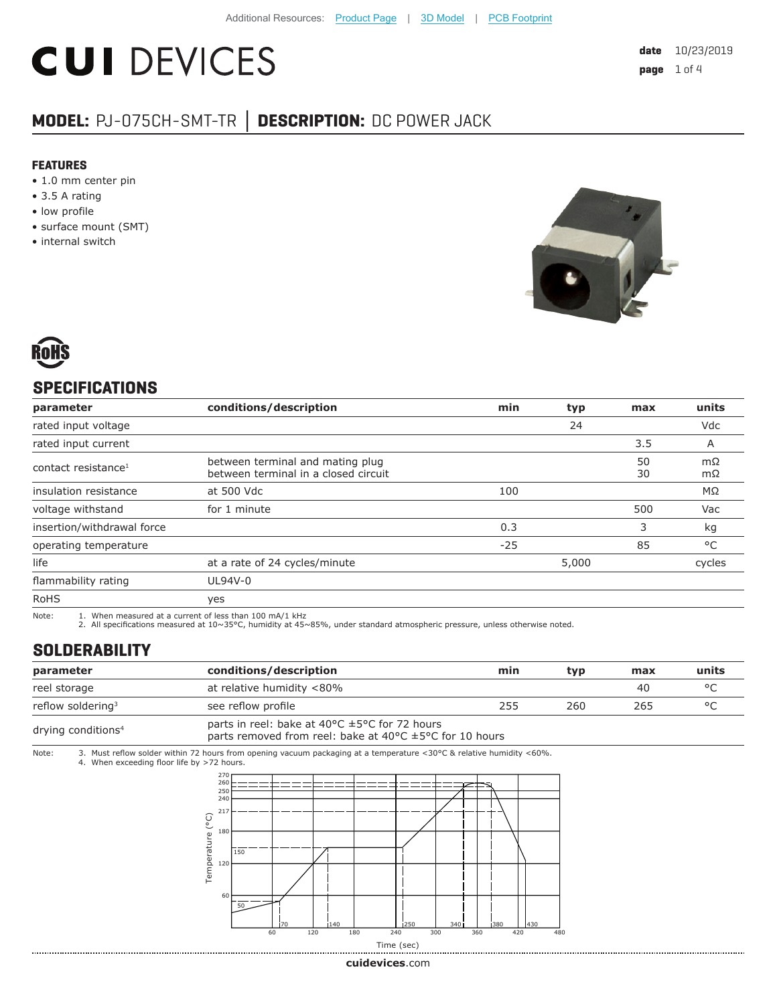# **CUI DEVICES**

### **MODEL:** PJ-075CH-SMT-TR **│ DESCRIPTION:** DC POWER JACK

#### **FEATURES**

- 1.0 mm center pin
- 3.5 A rating
- low profile
- surface mount (SMT)
- internal switch





#### **SPECIFICATIONS**

| parameter                       | conditions/description                                                   | min   | typ   | max      | units        |
|---------------------------------|--------------------------------------------------------------------------|-------|-------|----------|--------------|
| rated input voltage             |                                                                          |       | 24    |          | Vdc          |
| rated input current             |                                                                          |       |       | 3.5      | A            |
| contact resistance <sup>1</sup> | between terminal and mating plug<br>between terminal in a closed circuit |       |       | 50<br>30 | mΩ<br>mΩ     |
| insulation resistance           | at 500 Vdc                                                               | 100   |       |          | MΩ           |
| voltage withstand               | for 1 minute                                                             |       |       | 500      | Vac          |
| insertion/withdrawal force      |                                                                          | 0.3   |       | 3        | kg           |
| operating temperature           |                                                                          | $-25$ |       | 85       | $^{\circ}$ C |
| life                            | at a rate of 24 cycles/minute                                            |       | 5,000 |          | cycles       |
| flammability rating             | UL94V-0                                                                  |       |       |          |              |
| <b>RoHS</b>                     | yes                                                                      |       |       |          |              |

Note: 1. When measured at a current of less than 100 mA/1 kHz

2. All specifications measured at 10~35°C, humidity at 45~85%, under standard atmospheric pressure, unless otherwise noted.

#### **SOLDERABILITY**

| parameter                      | conditions/description                                                                                                            | min | tvp | max | units   |
|--------------------------------|-----------------------------------------------------------------------------------------------------------------------------------|-----|-----|-----|---------|
| reel storage                   | at relative humidity <80%                                                                                                         |     |     | 40  | $\circ$ |
| reflow soldering <sup>3</sup>  | see reflow profile                                                                                                                | 255 | 260 | 265 | $\circ$ |
| drying conditions <sup>4</sup> | parts in reel: bake at 40°C ±5°C for 72 hours<br>parts removed from reel: bake at 40 $\degree$ C $\pm$ 5 $\degree$ C for 10 hours |     |     |     |         |

Note: 3. Must reflow solder within 72 hours from opening vacuum packaging at a temperature <30°C & relative humidity <60%. 4. When exceeding floor life by >72 hours.



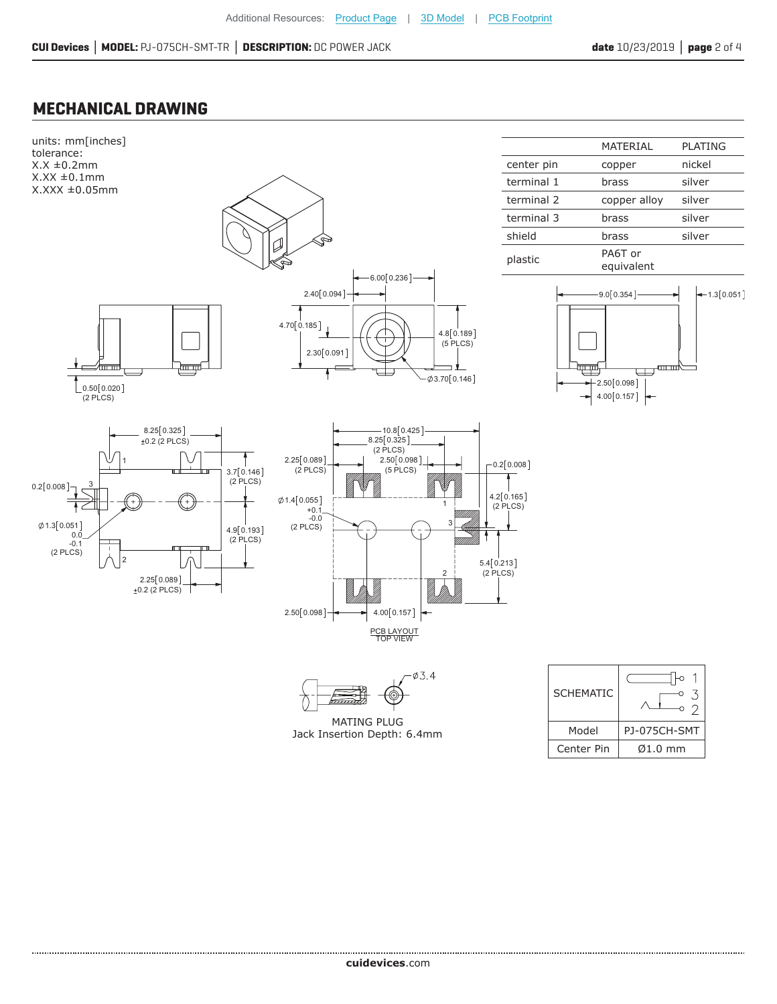#### **MECHANICAL DRAWING**

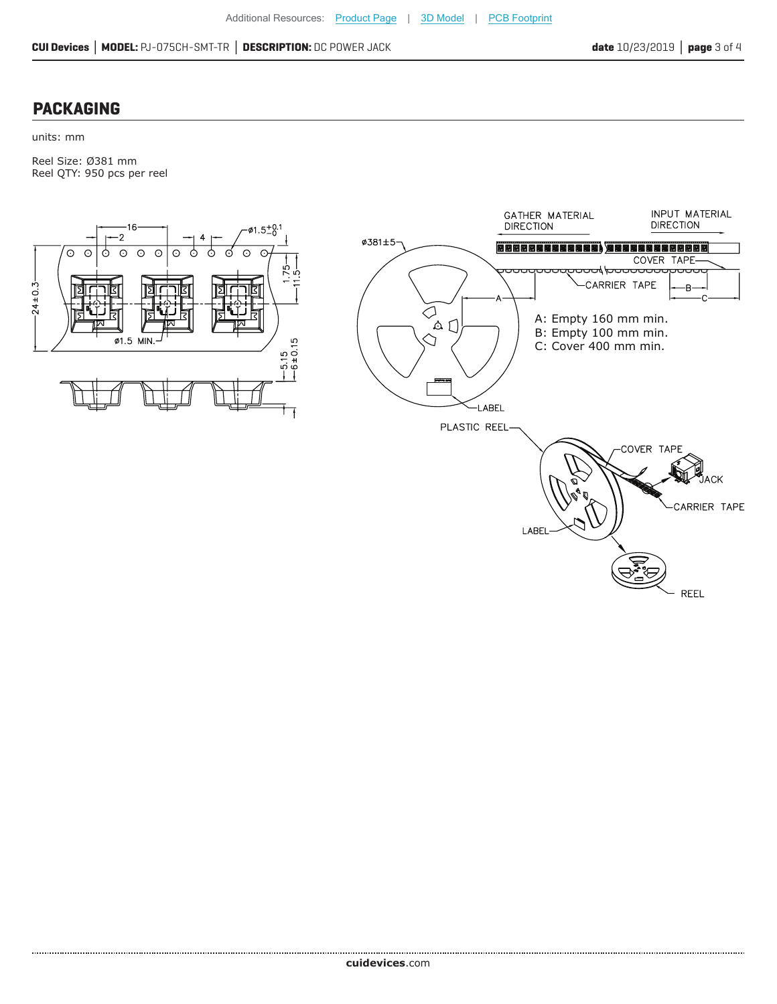#### **PACKAGING**

units: mm

Reel Size: Ø381 mm Reel QTY: 950 pcs per reel